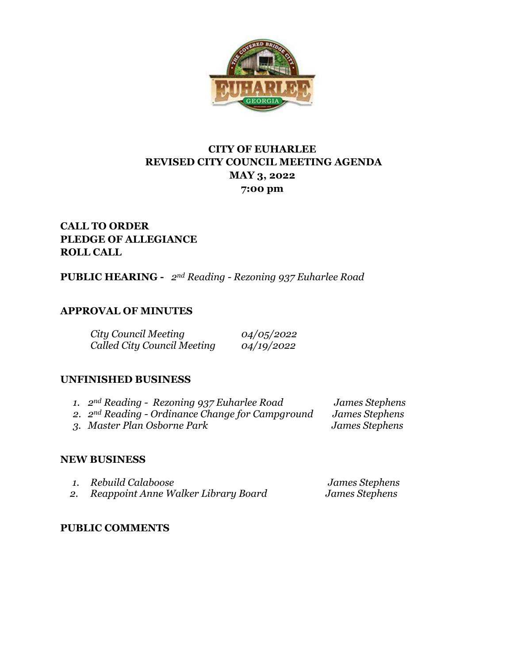

# **CITY OF EUHARLEE REVISED CITY COUNCIL MEETING AGENDA MAY 3, 2022 7:00 pm**

# **CALL TO ORDER PLEDGE OF ALLEGIANCE ROLL CALL**

**PUBLIC HEARING -** *2nd Reading - Rezoning 937 Euharlee Road* 

## **APPROVAL OF MINUTES**

| City Council Meeting        | 04/05/2022 |
|-----------------------------|------------|
| Called City Council Meeting | 04/19/2022 |

## **UNFINISHED BUSINESS**

| 1. $2^{nd}$ Reading - Rezoning 937 Euharlee Road   | James Stephens |
|----------------------------------------------------|----------------|
| 2. $2nd Reading - Ordinance Change for Campground$ | James Stephens |
| 3. Master Plan Osborne Park                        | James Stephens |

## **NEW BUSINESS**

| 1. Rebuild Calaboose                | James Stephens |
|-------------------------------------|----------------|
| Reappoint Anne Walker Library Board | James Stephens |

## **PUBLIC COMMENTS**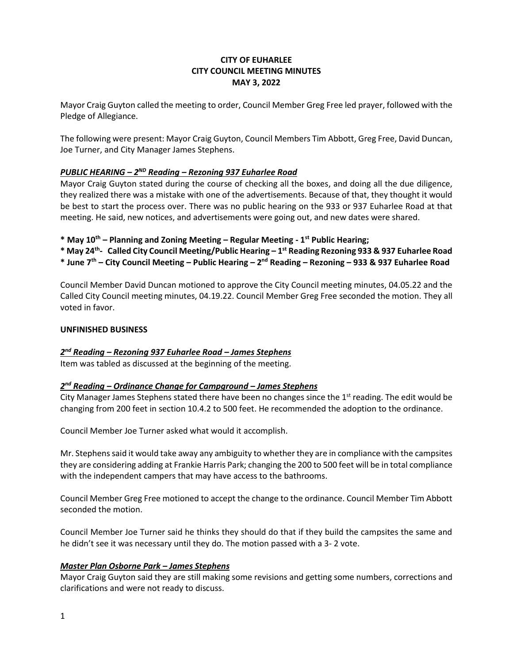#### **CITY OF EUHARLEE CITY COUNCIL MEETING MINUTES MAY 3, 2022**

Mayor Craig Guyton called the meeting to order, Council Member Greg Free led prayer, followed with the Pledge of Allegiance.

The following were present: Mayor Craig Guyton, Council Members Tim Abbott, Greg Free, David Duncan, Joe Turner, and City Manager James Stephens.

#### *PUBLIC HEARING – 2 ND Reading – Rezoning 937 Euharlee Road*

Mayor Craig Guyton stated during the course of checking all the boxes, and doing all the due diligence, they realized there was a mistake with one of the advertisements. Because of that, they thought it would be best to start the process over. There was no public hearing on the 933 or 937 Euharlee Road at that meeting. He said, new notices, and advertisements were going out, and new dates were shared.

**\* May 10th – Planning and Zoning Meeting – Regular Meeting - 1 st Public Hearing;** 

- **\* May 24th Called City Council Meeting/Public Hearing – 1 st Reading Rezoning 933 & 937 Euharlee Road**
- **\* June 7th – City Council Meeting – Public Hearing – 2 nd Reading – Rezoning – 933 & 937 Euharlee Road**

Council Member David Duncan motioned to approve the City Council meeting minutes, 04.05.22 and the Called City Council meeting minutes, 04.19.22. Council Member Greg Free seconded the motion. They all voted in favor.

#### **UNFINISHED BUSINESS**

#### *2 nd Reading – Rezoning 937 Euharlee Road – James Stephens*

Item was tabled as discussed at the beginning of the meeting.

#### *2 nd Reading – Ordinance Change for Campground – James Stephens*

City Manager James Stephens stated there have been no changes since the  $1<sup>st</sup>$  reading. The edit would be changing from 200 feet in section 10.4.2 to 500 feet. He recommended the adoption to the ordinance.

Council Member Joe Turner asked what would it accomplish.

Mr. Stephens said it would take away any ambiguity to whether they are in compliance with the campsites they are considering adding at Frankie Harris Park; changing the 200 to 500 feet will be in total compliance with the independent campers that may have access to the bathrooms.

Council Member Greg Free motioned to accept the change to the ordinance. Council Member Tim Abbott seconded the motion.

Council Member Joe Turner said he thinks they should do that if they build the campsites the same and he didn't see it was necessary until they do. The motion passed with a 3- 2 vote.

#### *Master Plan Osborne Park – James Stephens*

Mayor Craig Guyton said they are still making some revisions and getting some numbers, corrections and clarifications and were not ready to discuss.